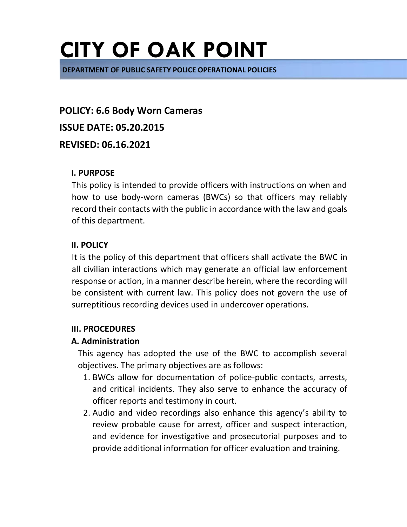**DEPARTMENT OF PUBLIC SAFETY POLICE OPERATIONAL POLICIES** 

**POLICY: 6.6 Body Worn Cameras ISSUE DATE: 05.20.2015 REVISED: 06.16.2021**

#### **I. PURPOSE**

This policy is intended to provide officers with instructions on when and how to use body-worn cameras (BWCs) so that officers may reliably record their contacts with the public in accordance with the law and goals of this department.

### **II. POLICY**

It is the policy of this department that officers shall activate the BWC in all civilian interactions which may generate an official law enforcement response or action, in a manner describe herein, where the recording will be consistent with current law. This policy does not govern the use of surreptitious recording devices used in undercover operations.

### **III. PROCEDURES**

### **A. Administration**

This agency has adopted the use of the BWC to accomplish several objectives. The primary objectives are as follows:

- 1. BWCs allow for documentation of police-public contacts, arrests, and critical incidents. They also serve to enhance the accuracy of officer reports and testimony in court.
- 2. Audio and video recordings also enhance this agency's ability to review probable cause for arrest, officer and suspect interaction, and evidence for investigative and prosecutorial purposes and to provide additional information for officer evaluation and training.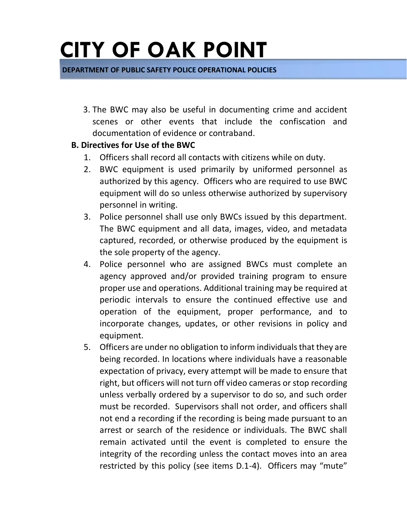**DEPARTMENT OF PUBLIC SAFETY POLICE OPERATIONAL POLICIES** 

3. The BWC may also be useful in documenting crime and accident scenes or other events that include the confiscation and documentation of evidence or contraband.

### **B. Directives for Use of the BWC**

- 1. Officers shall record all contacts with citizens while on duty.
- 2. BWC equipment is used primarily by uniformed personnel as authorized by this agency. Officers who are required to use BWC equipment will do so unless otherwise authorized by supervisory personnel in writing.
- 3. Police personnel shall use only BWCs issued by this department. The BWC equipment and all data, images, video, and metadata captured, recorded, or otherwise produced by the equipment is the sole property of the agency.
- 4. Police personnel who are assigned BWCs must complete an agency approved and/or provided training program to ensure proper use and operations. Additional training may be required at periodic intervals to ensure the continued effective use and operation of the equipment, proper performance, and to incorporate changes, updates, or other revisions in policy and equipment.
- 5. Officers are under no obligation to inform individuals that they are being recorded. In locations where individuals have a reasonable expectation of privacy, every attempt will be made to ensure that right, but officers will not turn off video cameras or stop recording unless verbally ordered by a supervisor to do so, and such order must be recorded. Supervisors shall not order, and officers shall not end a recording if the recording is being made pursuant to an arrest or search of the residence or individuals. The BWC shall remain activated until the event is completed to ensure the integrity of the recording unless the contact moves into an area restricted by this policy (see items D.1-4). Officers may "mute"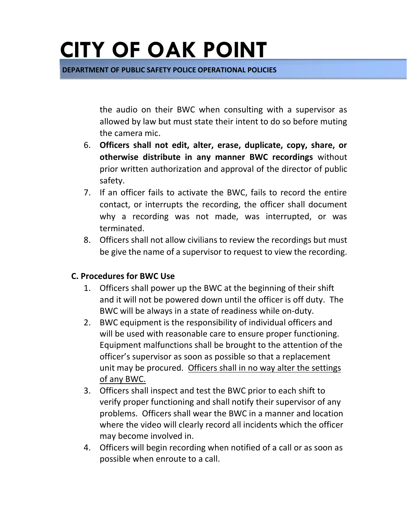**DEPARTMENT OF PUBLIC SAFETY POLICE OPERATIONAL POLICIES** 

the audio on their BWC when consulting with a supervisor as allowed by law but must state their intent to do so before muting the camera mic.

- 6. **Officers shall not edit, alter, erase, duplicate, copy, share, or otherwise distribute in any manner BWC recordings** without prior written authorization and approval of the director of public safety.
- 7. If an officer fails to activate the BWC, fails to record the entire contact, or interrupts the recording, the officer shall document why a recording was not made, was interrupted, or was terminated.
- 8. Officers shall not allow civilians to review the recordings but must be give the name of a supervisor to request to view the recording.

### **C. Procedures for BWC Use**

- 1. Officers shall power up the BWC at the beginning of their shift and it will not be powered down until the officer is off duty. The BWC will be always in a state of readiness while on-duty.
- 2. BWC equipment is the responsibility of individual officers and will be used with reasonable care to ensure proper functioning. Equipment malfunctions shall be brought to the attention of the officer's supervisor as soon as possible so that a replacement unit may be procured. Officers shall in no way alter the settings of any BWC.
- 3. Officers shall inspect and test the BWC prior to each shift to verify proper functioning and shall notify their supervisor of any problems. Officers shall wear the BWC in a manner and location where the video will clearly record all incidents which the officer may become involved in.
- 4. Officers will begin recording when notified of a call or as soon as possible when enroute to a call.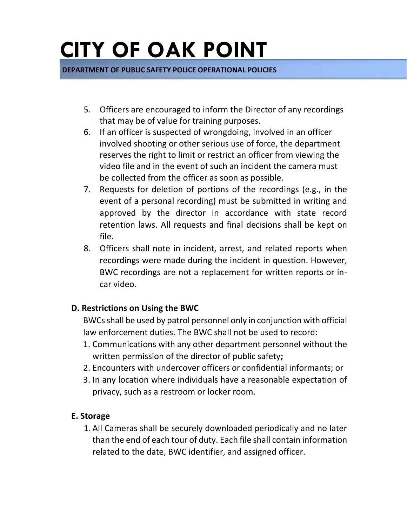**DEPARTMENT OF PUBLIC SAFETY POLICE OPERATIONAL POLICIES** 

- 5. Officers are encouraged to inform the Director of any recordings that may be of value for training purposes.
- 6. If an officer is suspected of wrongdoing, involved in an officer involved shooting or other serious use of force, the department reserves the right to limit or restrict an officer from viewing the video file and in the event of such an incident the camera must be collected from the officer as soon as possible.
- 7. Requests for deletion of portions of the recordings (e.g., in the event of a personal recording) must be submitted in writing and approved by the director in accordance with state record retention laws. All requests and final decisions shall be kept on file.
- 8. Officers shall note in incident, arrest, and related reports when recordings were made during the incident in question. However, BWC recordings are not a replacement for written reports or incar video.

### **D. Restrictions on Using the BWC**

BWCs shall be used by patrol personnel only in conjunction with official law enforcement duties. The BWC shall not be used to record:

- 1. Communications with any other department personnel without the written permission of the director of public safety**;**
- 2. Encounters with undercover officers or confidential informants; or
- 3. In any location where individuals have a reasonable expectation of privacy, such as a restroom or locker room.

### **E. Storage**

1. All Cameras shall be securely downloaded periodically and no later than the end of each tour of duty. Each file shall contain information related to the date, BWC identifier, and assigned officer.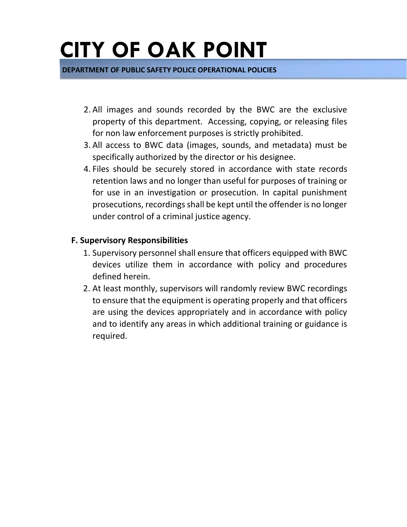**DEPARTMENT OF PUBLIC SAFETY POLICE OPERATIONAL POLICIES** 

- 2. All images and sounds recorded by the BWC are the exclusive property of this department. Accessing, copying, or releasing files for non law enforcement purposes is strictly prohibited.
- 3. All access to BWC data (images, sounds, and metadata) must be specifically authorized by the director or his designee.
- 4. Files should be securely stored in accordance with state records retention laws and no longer than useful for purposes of training or for use in an investigation or prosecution. In capital punishment prosecutions, recordings shall be kept until the offender is no longer under control of a criminal justice agency.

#### **F. Supervisory Responsibilities**

- 1. Supervisory personnel shall ensure that officers equipped with BWC devices utilize them in accordance with policy and procedures defined herein.
- 2. At least monthly, supervisors will randomly review BWC recordings to ensure that the equipment is operating properly and that officers are using the devices appropriately and in accordance with policy and to identify any areas in which additional training or guidance is required.